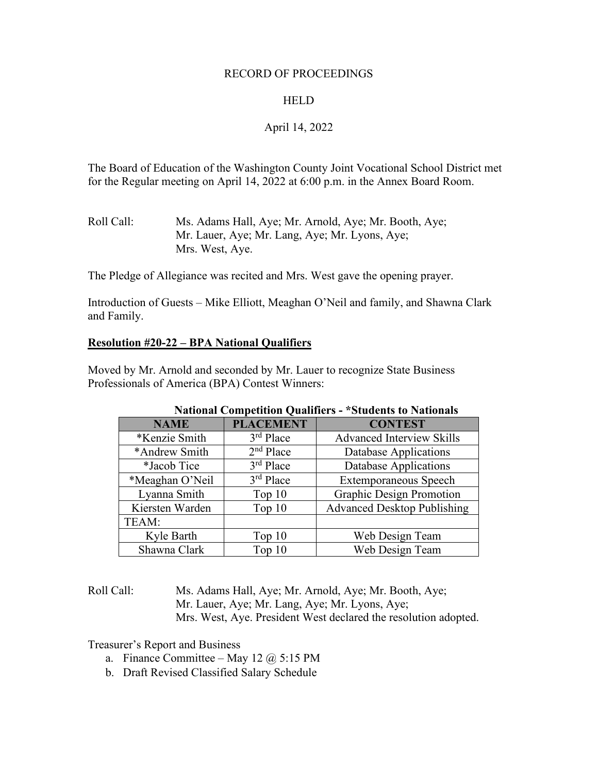#### RECORD OF PROCEEDINGS

## HELD

## April 14, 2022

The Board of Education of the Washington County Joint Vocational School District met for the Regular meeting on April 14, 2022 at 6:00 p.m. in the Annex Board Room.

Roll Call: Ms. Adams Hall, Aye; Mr. Arnold, Aye; Mr. Booth, Aye; Mr. Lauer, Aye; Mr. Lang, Aye; Mr. Lyons, Aye; Mrs. West, Aye.

The Pledge of Allegiance was recited and Mrs. West gave the opening prayer.

Introduction of Guests – Mike Elliott, Meaghan O'Neil and family, and Shawna Clark and Family.

## **Resolution #20-22 – BPA National Qualifiers**

Moved by Mr. Arnold and seconded by Mr. Lauer to recognize State Business Professionals of America (BPA) Contest Winners:

|                 | $\ldots$         |                                    |
|-----------------|------------------|------------------------------------|
| <b>NAME</b>     | <b>PLACEMENT</b> | <b>CONTEST</b>                     |
| *Kenzie Smith   | $3rd$ Place      | <b>Advanced Interview Skills</b>   |
| *Andrew Smith   | $2nd$ Place      | Database Applications              |
| *Jacob Tice     | $3rd$ Place      | Database Applications              |
| *Meaghan O'Neil | $3rd$ Place      | <b>Extemporaneous Speech</b>       |
| Lyanna Smith    | Top $10$         | <b>Graphic Design Promotion</b>    |
| Kiersten Warden | Top 10           | <b>Advanced Desktop Publishing</b> |
| TEAM:           |                  |                                    |
| Kyle Barth      | Top $10$         | Web Design Team                    |
| Shawna Clark    | Top 10           | Web Design Team                    |

#### **National Competition Qualifiers - \*Students to Nationals**

Roll Call: Ms. Adams Hall, Aye; Mr. Arnold, Aye; Mr. Booth, Aye; Mr. Lauer, Aye; Mr. Lang, Aye; Mr. Lyons, Aye; Mrs. West, Aye. President West declared the resolution adopted.

Treasurer's Report and Business

- a. Finance Committee May 12  $\omega$  5:15 PM
- b. Draft Revised Classified Salary Schedule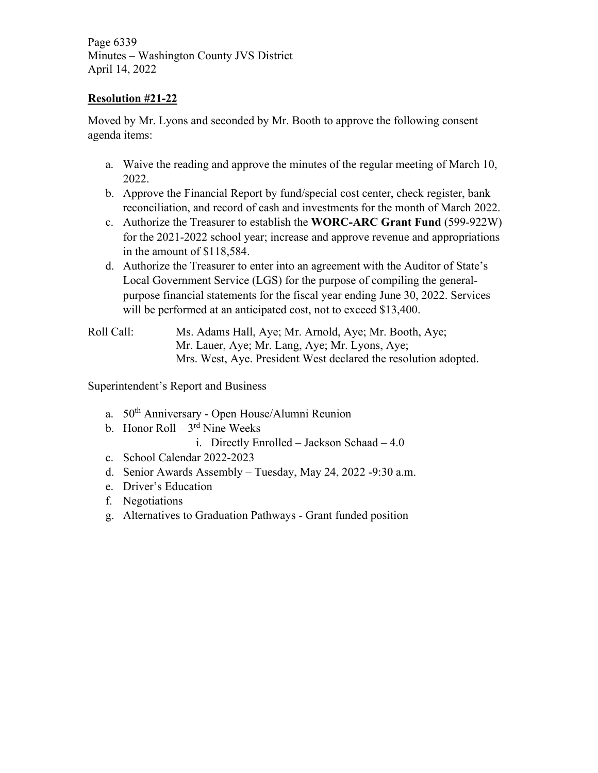Page 6339 Minutes – Washington County JVS District April 14, 2022

# **Resolution #21-22**

Moved by Mr. Lyons and seconded by Mr. Booth to approve the following consent agenda items:

- a. Waive the reading and approve the minutes of the regular meeting of March 10, 2022.
- b. Approve the Financial Report by fund/special cost center, check register, bank reconciliation, and record of cash and investments for the month of March 2022.
- c. Authorize the Treasurer to establish the **WORC-ARC Grant Fund** (599-922W) for the 2021-2022 school year; increase and approve revenue and appropriations in the amount of \$118,584.
- d. Authorize the Treasurer to enter into an agreement with the Auditor of State's Local Government Service (LGS) for the purpose of compiling the generalpurpose financial statements for the fiscal year ending June 30, 2022. Services will be performed at an anticipated cost, not to exceed \$13,400.

Roll Call: Ms. Adams Hall, Aye; Mr. Arnold, Aye; Mr. Booth, Aye; Mr. Lauer, Aye; Mr. Lang, Aye; Mr. Lyons, Aye; Mrs. West, Aye. President West declared the resolution adopted.

Superintendent's Report and Business

- a. 50th Anniversary Open House/Alumni Reunion
- b. Honor Roll  $3<sup>rd</sup>$  Nine Weeks
	- i. Directly Enrolled Jackson Schaad 4.0
- c. School Calendar 2022-2023
- d. Senior Awards Assembly Tuesday, May 24, 2022 -9:30 a.m.
- e. Driver's Education
- f. Negotiations
- g. Alternatives to Graduation Pathways Grant funded position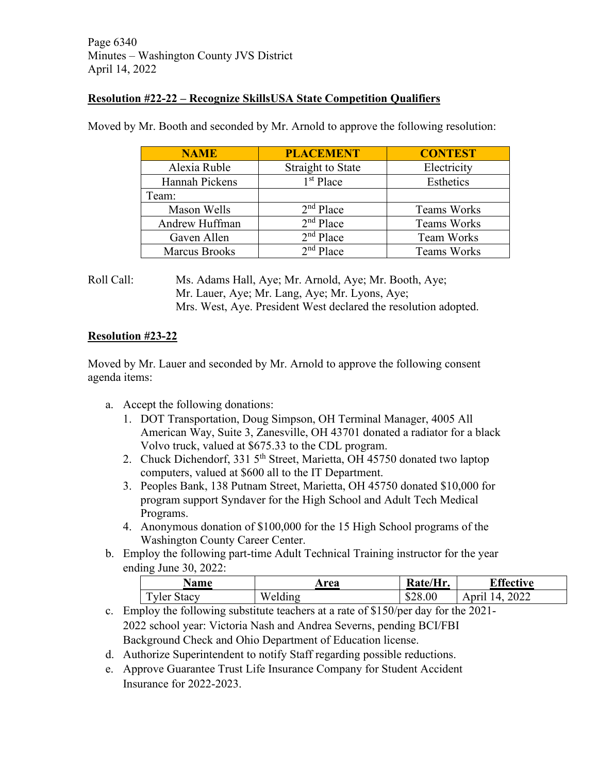## **Resolution #22-22 – Recognize SkillsUSA State Competition Qualifiers**

| <b>NAME</b>          | <b>PLACEMENT</b>         | <b>CONTEST</b>     |
|----------------------|--------------------------|--------------------|
| Alexia Ruble         | <b>Straight to State</b> | Electricity        |
| Hannah Pickens       | $1st$ Place              | Esthetics          |
| Team:                |                          |                    |
| Mason Wells          | $2nd$ Place              | <b>Teams Works</b> |
| Andrew Huffman       | $2nd$ Place              | Teams Works        |
| Gaven Allen          | $2nd$ Place              | <b>Team Works</b>  |
| <b>Marcus Brooks</b> | $2nd$ Place              | <b>Teams Works</b> |

Moved by Mr. Booth and seconded by Mr. Arnold to approve the following resolution:

## Roll Call: Ms. Adams Hall, Aye; Mr. Arnold, Aye; Mr. Booth, Aye; Mr. Lauer, Aye; Mr. Lang, Aye; Mr. Lyons, Aye; Mrs. West, Aye. President West declared the resolution adopted.

# **Resolution #23-22**

Moved by Mr. Lauer and seconded by Mr. Arnold to approve the following consent agenda items:

- a. Accept the following donations:
	- 1. DOT Transportation, Doug Simpson, OH Terminal Manager, 4005 All American Way, Suite 3, Zanesville, OH 43701 donated a radiator for a black Volvo truck, valued at \$675.33 to the CDL program.
	- 2. Chuck Dichendorf, 331 5<sup>th</sup> Street, Marietta, OH 45750 donated two laptop computers, valued at \$600 all to the IT Department.
	- 3. Peoples Bank, 138 Putnam Street, Marietta, OH 45750 donated \$10,000 for program support Syndaver for the High School and Adult Tech Medical Programs.
	- 4. Anonymous donation of \$100,000 for the 15 High School programs of the Washington County Career Center.
- b. Employ the following part-time Adult Technical Training instructor for the year ending June 30, 2022:

| <b>Name</b> | rea     | Rate/Hr. | <b>Effective</b>                              |
|-------------|---------|----------|-----------------------------------------------|
| Tyler Stacy | Welding | \$28.00  | 2022<br>$\mathbf{1} \mathbf{\Delta}$<br>April |

- c. Employ the following substitute teachers at a rate of \$150/per day for the 2021- 2022 school year: Victoria Nash and Andrea Severns, pending BCI/FBI Background Check and Ohio Department of Education license.
- d. Authorize Superintendent to notify Staff regarding possible reductions.
- e. Approve Guarantee Trust Life Insurance Company for Student Accident Insurance for 2022-2023.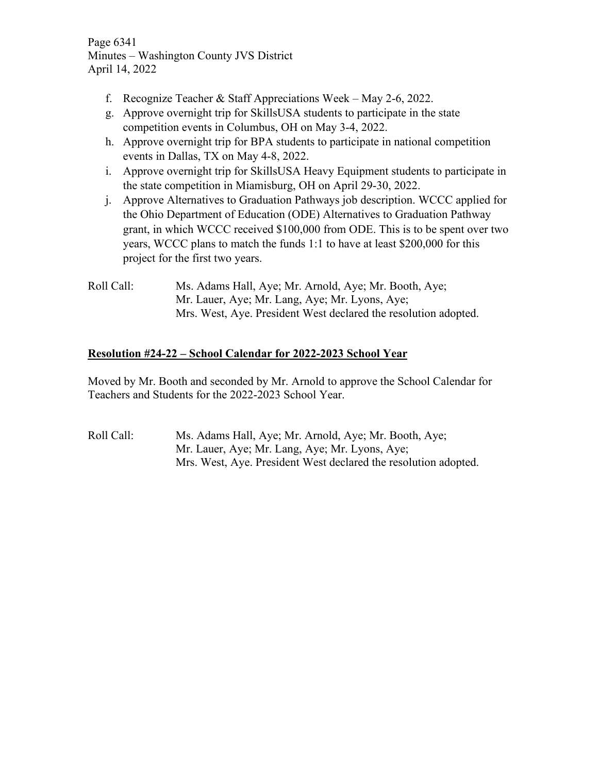Page 6341 Minutes – Washington County JVS District April 14, 2022

- f. Recognize Teacher & Staff Appreciations Week May 2-6, 2022.
- g. Approve overnight trip for SkillsUSA students to participate in the state competition events in Columbus, OH on May 3-4, 2022.
- h. Approve overnight trip for BPA students to participate in national competition events in Dallas, TX on May 4-8, 2022.
- i. Approve overnight trip for SkillsUSA Heavy Equipment students to participate in the state competition in Miamisburg, OH on April 29-30, 2022.
- j. Approve Alternatives to Graduation Pathways job description. WCCC applied for the Ohio Department of Education (ODE) Alternatives to Graduation Pathway grant, in which WCCC received \$100,000 from ODE. This is to be spent over two years, WCCC plans to match the funds 1:1 to have at least \$200,000 for this project for the first two years.
- Roll Call: Ms. Adams Hall, Aye; Mr. Arnold, Aye; Mr. Booth, Aye; Mr. Lauer, Aye; Mr. Lang, Aye; Mr. Lyons, Aye; Mrs. West, Aye. President West declared the resolution adopted.

# **Resolution #24-22 – School Calendar for 2022-2023 School Year**

Moved by Mr. Booth and seconded by Mr. Arnold to approve the School Calendar for Teachers and Students for the 2022-2023 School Year.

Roll Call: Ms. Adams Hall, Aye; Mr. Arnold, Aye; Mr. Booth, Aye; Mr. Lauer, Aye; Mr. Lang, Aye; Mr. Lyons, Aye; Mrs. West, Aye. President West declared the resolution adopted.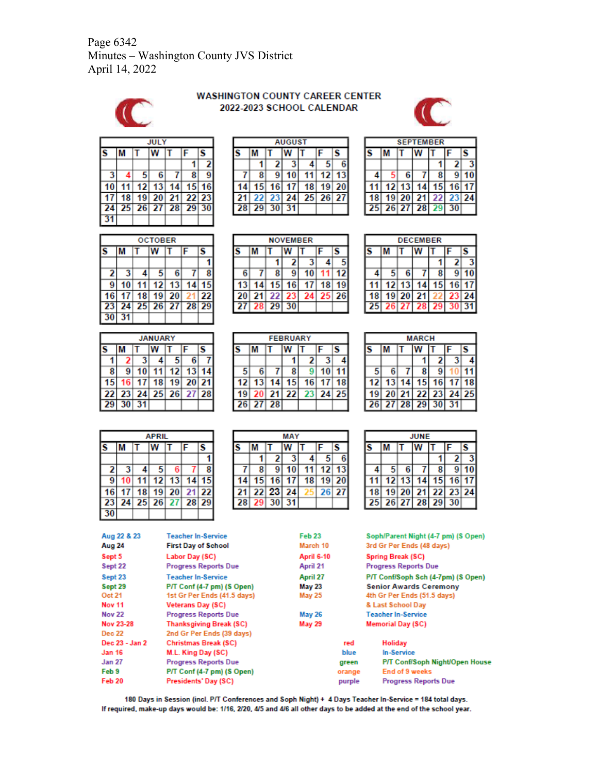Page 6342 Minutes – Washington County JVS District April 14, 2022



#### **WASHINGTON COUNTY CAREER CENTER** 2022-2023 SCHOOL CALENDAR



**SEPTEMBER** 

11 12 13 14 15 16 17

 $28$ 29 30

 $W$  T

ls

 $\overline{9}$ 

 $23|24$ 

 $\overline{\mathbf{3}}$ 

 $10$ 

IF  $\overline{2}$  $\overline{\mathbf{1}}$ 

 $\overline{\mathbf{8}}$  $\overline{7}$ 

22

M π

18 19 20 21

 $26|27$ 

S

4 5  $6\phantom{1}6$ 

25

|    | <b>JULY</b> |                  |               |    |                |       |  |  |  |  |  |  |
|----|-------------|------------------|---------------|----|----------------|-------|--|--|--|--|--|--|
|    |             | Ś<br>F<br>w<br>т |               |    |                |       |  |  |  |  |  |  |
|    |             |                  |               |    |                | 2     |  |  |  |  |  |  |
| 3  | 4           | 5                | 6             |    | 8              |       |  |  |  |  |  |  |
|    | 11          |                  | $12$ 13       | 14 |                | 15 16 |  |  |  |  |  |  |
|    | 18          |                  |               |    | 19 20 21 22 23 |       |  |  |  |  |  |  |
| 24 |             |                  | $25$ 26 27 28 |    | 29 30          |       |  |  |  |  |  |  |
| 31 |             |                  |               |    |                |       |  |  |  |  |  |  |

| <b>OCTOBER</b> |    |    |            |    |       |    |  |  |  |  |  |
|----------------|----|----|------------|----|-------|----|--|--|--|--|--|
|                |    |    |            |    | F     | S  |  |  |  |  |  |
|                |    |    |            |    |       |    |  |  |  |  |  |
| 2              | 3  |    | 5          | 6  |       | 8  |  |  |  |  |  |
| 9              | 10 | 11 | 12         | 13 | 14    | 15 |  |  |  |  |  |
| 16             | 17 | 18 | 19         | 20 |       | 22 |  |  |  |  |  |
| 23             | 24 |    | $25$ 26 27 |    | 28 29 |    |  |  |  |  |  |
|                | 31 |    |            |    |       |    |  |  |  |  |  |

|    | <b>JANUARY</b>  |                 |    |                 |                   |  |  |  |  |  |  |
|----|-----------------|-----------------|----|-----------------|-------------------|--|--|--|--|--|--|
|    |                 | S<br>F          |    |                 |                   |  |  |  |  |  |  |
|    | 2               |                 |    | $5^{\circ}$     | 6                 |  |  |  |  |  |  |
| 8  | 9               | 10              | 11 | 12              | 13                |  |  |  |  |  |  |
| 15 | 16 <sup>1</sup> | 17 <sup>1</sup> | 18 | 19 <sup>1</sup> | 20 21             |  |  |  |  |  |  |
| 22 |                 |                 |    |                 | 23 24 25 26 27 28 |  |  |  |  |  |  |
| 29 | 30              | 31              |    |                 |                   |  |  |  |  |  |  |

|    | APRIL |        |   |         |                |  |  |  |  |  |  |  |
|----|-------|--------|---|---------|----------------|--|--|--|--|--|--|--|
|    |       | F<br>S |   |         |                |  |  |  |  |  |  |  |
|    |       |        |   |         |                |  |  |  |  |  |  |  |
| 2  |       |        | 5 | 6       |                |  |  |  |  |  |  |  |
| 9  |       | 11     |   | $12$ 13 | 14             |  |  |  |  |  |  |  |
| 16 | 17    | 18     |   | $19$ 20 | 21 22          |  |  |  |  |  |  |  |
| 23 | 24    |        |   |         | 25 26 27 28 29 |  |  |  |  |  |  |  |
|    |       |        |   |         |                |  |  |  |  |  |  |  |

|    | <b>AUGUST</b> |    |    |    |       |    |  |  |  |  |
|----|---------------|----|----|----|-------|----|--|--|--|--|
|    |               |    |    |    | F     | S  |  |  |  |  |
|    |               |    |    |    | 5     |    |  |  |  |  |
|    | 8             | 9  |    |    | 12    | 13 |  |  |  |  |
|    | 15            | 16 |    | 18 | 19    | 20 |  |  |  |  |
|    | 22            | 23 | 24 |    | 25 26 | 27 |  |  |  |  |
| 28 | 29            |    |    |    |       |    |  |  |  |  |

| <b>NOVEMBER</b> |        |    |    |    |    |    |  |  |  |  |  |
|-----------------|--------|----|----|----|----|----|--|--|--|--|--|
|                 | S<br>F |    |    |    |    |    |  |  |  |  |  |
|                 |        |    | 2  |    |    |    |  |  |  |  |  |
| 6               |        | 8  |    | 10 |    | 12 |  |  |  |  |  |
| 13              | 14     | 15 | 16 | 17 | 18 |    |  |  |  |  |  |
| 20              | 21     | 22 | 23 | 24 | 25 | 26 |  |  |  |  |  |
| $\mathbf{p}$    | 28     | 29 |    |    |    |    |  |  |  |  |  |

|    | <b>FEBRUARY</b> |    |    |    |          |    |  |  |  |  |  |
|----|-----------------|----|----|----|----------|----|--|--|--|--|--|
|    | s<br>F          |    |    |    |          |    |  |  |  |  |  |
|    |                 |    |    | 2  |          |    |  |  |  |  |  |
| 5  | 6               |    | 8  |    | 10       |    |  |  |  |  |  |
| 12 | 13              | 14 | 15 | 16 | 17       | 18 |  |  |  |  |  |
| 19 | 20              | 21 | 22 |    | 23 24 25 |    |  |  |  |  |  |
| 26 | 27              | 28 |    |    |          |    |  |  |  |  |  |

|    | MAY    |       |    |    |    |       |  |  |  |  |  |  |
|----|--------|-------|----|----|----|-------|--|--|--|--|--|--|
| S  | S<br>F |       |    |    |    |       |  |  |  |  |  |  |
|    |        |       |    |    |    |       |  |  |  |  |  |  |
|    | 8      |       |    |    | 12 |       |  |  |  |  |  |  |
|    | 15     | 16    |    | 18 | 19 | 20    |  |  |  |  |  |  |
| 21 |        | 22 23 | 24 |    |    | 26 27 |  |  |  |  |  |  |
| 28 | 29     |       |    |    |    |       |  |  |  |  |  |  |

|    | <b>DECEMBER</b> |    |    |    |    |    |  |  |  |  |  |
|----|-----------------|----|----|----|----|----|--|--|--|--|--|
|    |                 | S  |    |    |    |    |  |  |  |  |  |
|    |                 |    |    |    | 2  |    |  |  |  |  |  |
|    | 5               | 6  |    | 8  | 9  |    |  |  |  |  |  |
|    | 121             | 13 |    | 15 | 16 | 17 |  |  |  |  |  |
| 18 | 19              | 20 | 21 |    | 23 | 24 |  |  |  |  |  |
| 25 | 26              | 27 | 28 | 29 |    |    |  |  |  |  |  |

| <b>MARCH</b> |    |       |          |                 |     |       |
|--------------|----|-------|----------|-----------------|-----|-------|
|              |    |       |          |                 | F   | S     |
|              |    |       |          | 2               | 3   |       |
| 5            | 6  |       | 8        | g               |     |       |
| 12           | 13 | 14    | 15       | 16              | 171 | 18    |
| 19           |    | 20 21 |          | 22 23           |     | 24 25 |
| 261          |    |       | 27 28 29 | 30 <sup>1</sup> | 31  |       |

| <b>JUNE</b> |    |       |    |    |    |             |
|-------------|----|-------|----|----|----|-------------|
|             |    |       |    |    | F  | S           |
|             |    |       |    |    | 2  |             |
|             | 5  | 6     |    | 8  |    |             |
|             | 12 | 13    |    | 15 | 16 |             |
| 18          |    | 19 20 | 21 | 22 | 23 | $\sqrt{24}$ |
| 25          |    | 26 27 | 28 | 29 |    |             |

| Aug 22 & 23    | <b>Teacher In-Service</b>      | Feb <sub>23</sub> |        | Soph/Parent Night (4-7 pm) (S Open) |  |  |
|----------------|--------------------------------|-------------------|--------|-------------------------------------|--|--|
| Aug 24         | <b>First Day of School</b>     | March 10          |        | 3rd Gr Per Ends (48 days)           |  |  |
| Sept 5         | Labor Day (SC)                 | <b>April 6-10</b> |        | <b>Spring Break (SC)</b>            |  |  |
| Sept 22        | <b>Progress Reports Due</b>    | April 21          |        | <b>Progress Reports Due</b>         |  |  |
| Sept 23        | <b>Teacher In-Service</b>      | April 27          |        | P/T Conf/Soph Sch (4-7pm) (S Open)  |  |  |
| Sept 29        | P/T Conf (4-7 pm) (S Open)     | <b>May 23</b>     |        | <b>Senior Awards Ceremony</b>       |  |  |
| Oct 21         | 1st Gr Per Ends (41.5 days)    | May 25            |        | 4th Gr Per Ends (51.5 days)         |  |  |
| <b>Nov 11</b>  | Veterans Day (SC)              |                   |        | & Last School Day                   |  |  |
| <b>Nov 22</b>  | <b>Progress Reports Due</b>    | <b>May 26</b>     |        | <b>Teacher In-Service</b>           |  |  |
| Nov 23-28      | <b>Thanksgiving Break (SC)</b> | <b>May 29</b>     |        | <b>Memorial Day (SC)</b>            |  |  |
| <b>Dec 22</b>  | 2nd Gr Per Ends (39 days)      |                   |        |                                     |  |  |
| Dec 23 - Jan 2 | <b>Christmas Break (SC)</b>    |                   | red    | Holiday                             |  |  |
| Jan 16         | M.L. King Day (SC)             |                   | blue   | <b>In-Service</b>                   |  |  |
| <b>Jan 27</b>  | <b>Progress Reports Due</b>    |                   | green  | P/T Conf/Soph Night/Open House      |  |  |
| Feb 9          | P/T Conf (4-7 pm) (S Open)     |                   | orange | <b>End of 9 weeks</b>               |  |  |
| Feb 20         | Presidents' Day (SC)           |                   | purple | <b>Progress Reports Due</b>         |  |  |

180 Days in Session (incl. P/T Conferences and Soph Night) + 4 Days Teacher In-Service = 184 total days. If required, make-up days would be: 1/16, 2/20, 4/5 and 4/6 all other days to be added at the end of the school year.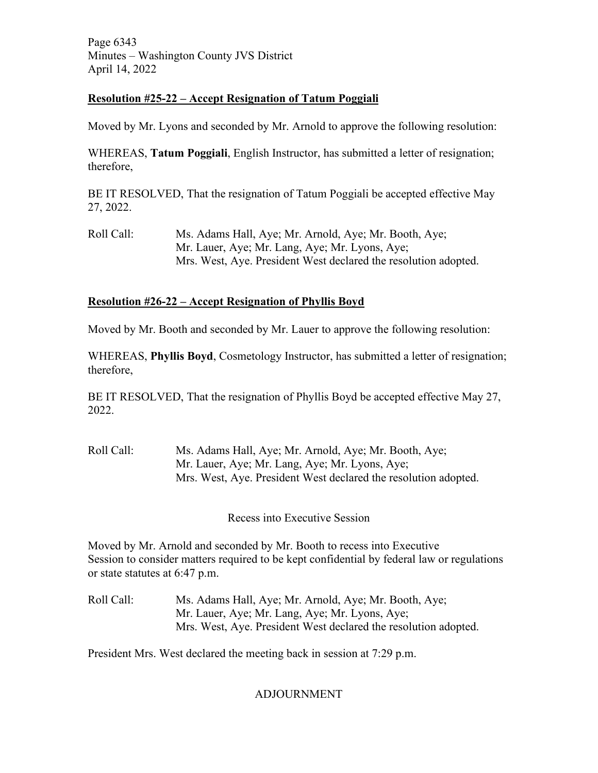Page 6343 Minutes – Washington County JVS District April 14, 2022

## **Resolution #25-22 – Accept Resignation of Tatum Poggiali**

Moved by Mr. Lyons and seconded by Mr. Arnold to approve the following resolution:

WHEREAS, **Tatum Poggiali**, English Instructor, has submitted a letter of resignation; therefore,

BE IT RESOLVED, That the resignation of Tatum Poggiali be accepted effective May 27, 2022.

Roll Call: Ms. Adams Hall, Aye; Mr. Arnold, Aye; Mr. Booth, Aye; Mr. Lauer, Aye; Mr. Lang, Aye; Mr. Lyons, Aye; Mrs. West, Aye. President West declared the resolution adopted.

## **Resolution #26-22 – Accept Resignation of Phyllis Boyd**

Moved by Mr. Booth and seconded by Mr. Lauer to approve the following resolution:

WHEREAS, **Phyllis Boyd**, Cosmetology Instructor, has submitted a letter of resignation; therefore,

BE IT RESOLVED, That the resignation of Phyllis Boyd be accepted effective May 27, 2022.

Roll Call: Ms. Adams Hall, Aye; Mr. Arnold, Aye; Mr. Booth, Aye; Mr. Lauer, Aye; Mr. Lang, Aye; Mr. Lyons, Aye; Mrs. West, Aye. President West declared the resolution adopted.

Recess into Executive Session

Moved by Mr. Arnold and seconded by Mr. Booth to recess into Executive Session to consider matters required to be kept confidential by federal law or regulations or state statutes at 6:47 p.m.

Roll Call: Ms. Adams Hall, Aye; Mr. Arnold, Aye; Mr. Booth, Aye; Mr. Lauer, Aye; Mr. Lang, Aye; Mr. Lyons, Aye; Mrs. West, Aye. President West declared the resolution adopted.

President Mrs. West declared the meeting back in session at 7:29 p.m.

## ADJOURNMENT